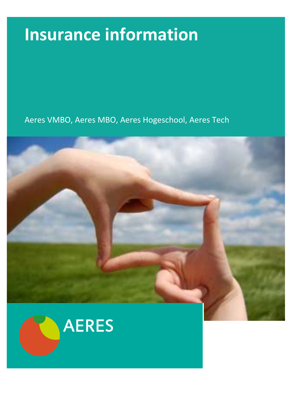# **Insurance information**

Aeres VMBO, Aeres MBO, Aeres Hogeschool, Aeres Tech



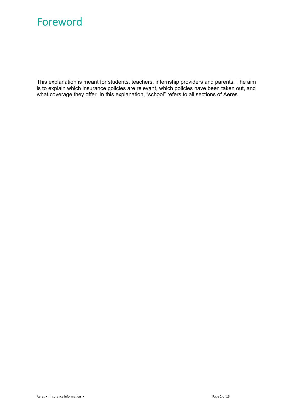## Foreword

This explanation is meant for students, teachers, internship providers and parents. The aim is to explain which insurance policies are relevant, which policies have been taken out, and what coverage they offer. In this explanation, "school" refers to all sections of Aeres.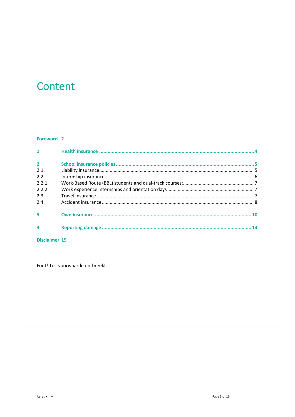## Content

### Foreword 2

| $1 - 1$        |    |
|----------------|----|
| $\overline{2}$ |    |
| 2.1.           |    |
| 2.2.           |    |
| 2.2.1          |    |
| 2.2.2.         |    |
| 2.3.           |    |
| 2.4.           |    |
|                |    |
|                | 13 |
|                |    |

Disclaimer 15

Fout! Testvoorwaarde ontbreekt.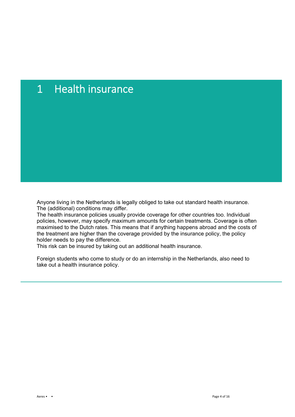# 1 Health insurance

Anyone living in the Netherlands is legally obliged to take out standard health insurance. The (additional) conditions may differ.

The health insurance policies usually provide coverage for other countries too. Individual policies, however, may specify maximum amounts for certain treatments. Coverage is often maximised to the Dutch rates. This means that if anything happens abroad and the costs of the treatment are higher than the coverage provided by the insurance policy, the policy holder needs to pay the difference.

This risk can be insured by taking out an additional health insurance.

Foreign students who come to study or do an internship in the Netherlands, also need to take out a health insurance policy.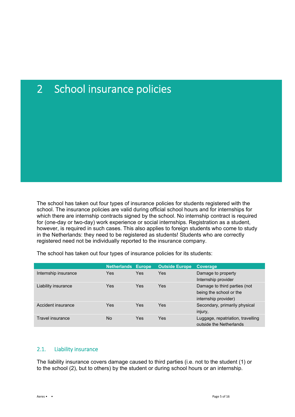# 2 School insurance policies

The school has taken out four types of insurance policies for students registered with the school. The insurance policies are valid during official school hours and for internships for which there are internship contracts signed by the school. No internship contract is required for (one-day or two-day) work experience or social internships. Registration as a student, however, is required in such cases. This also applies to foreign students who come to study in the Netherlands: they need to be registered as students! Students who are correctly registered need not be individually reported to the insurance company.

|                      | <b>Netherlands Europe</b> |     | <b>Outside Europe</b> | <b>Coverage</b>                                                                 |
|----------------------|---------------------------|-----|-----------------------|---------------------------------------------------------------------------------|
| Internship insurance | Yes                       | Yes | Yes                   | Damage to property<br>Internship provider                                       |
| Liability insurance  | Yes                       | Yes | Yes                   | Damage to third parties (not<br>being the school or the<br>internship provider) |
| Accident insurance   | Yes                       | Yes | Yes                   | Secondary, primarily physical<br>injury,                                        |
| Travel insurance     | No                        | Yes | Yes                   | Luggage, repatriation, travelling<br>outside the Netherlands                    |

The school has taken out four types of insurance policies for its students:

### 2.1. Liability insurance

The liability insurance covers damage caused to third parties (i.e. not to the student (1) or to the school (2), but to others) by the student or during school hours or an internship.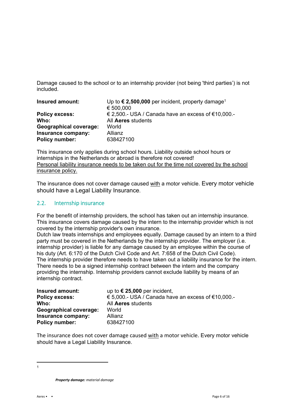Damage caused to the school or to an internship provider (not being 'third parties') is not included.

| Insured amount:               | Up to $\epsilon$ 2,500,000 per incident, property damage <sup>1</sup><br>€ 500,000 |
|-------------------------------|------------------------------------------------------------------------------------|
| <b>Policy excess:</b>         | € 2,500.- USA / Canada have an excess of €10,000.-                                 |
| Who:                          | All Aeres students                                                                 |
| <b>Geographical coverage:</b> | World                                                                              |
| Insurance company:            | Allianz                                                                            |
| Policy number:                | 638427100                                                                          |

This insurance only applies during school hours. Liability outside school hours or internships in the Netherlands or abroad is therefore not covered! Personal liability insurance needs to be taken out for the time not covered by the school insurance policy.

The insurance does not cover damage caused with a motor vehicle. Every motor vehicle should have a Legal Liability Insurance.

### 2.2. Internship insurance

For the benefit of internship providers, the school has taken out an internship insurance. This insurance covers damage caused by the intern to the internship provider which is not covered by the internship provider's own insurance.

Dutch law treats internships and employees equally. Damage caused by an intern to a third party must be covered in the Netherlands by the internship provider. The employer (i.e. internship provider) is liable for any damage caused by an employee within the course of his duty (Art. 6:170 of the Dutch Civil Code and Art. 7:658 of the Dutch Civil Code). The internship provider therefore needs to have taken out a liability insurance for the intern. There needs to be a signed internship contract between the intern and the company providing the internship. Internship providers cannot exclude liability by means of an internship contract.

| Insured amount:               | up to $€ 25,000$ per incident,                     |
|-------------------------------|----------------------------------------------------|
| <b>Policy excess:</b>         | € 5,000.- USA / Canada have an excess of €10,000.- |
| Who:                          | All Aeres students                                 |
| <b>Geographical coverage:</b> | World                                              |
| Insurance company:            | Allianz                                            |
| Policy number:                | 638427100                                          |

The insurance does not cover damage caused with a motor vehicle. Every motor vehicle should have a Legal Liability Insurance.

 1

*Property damage: material damage*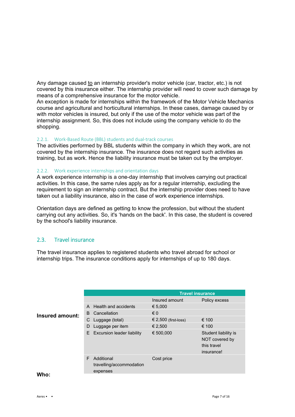Any damage caused to an internship provider's motor vehicle (car, tractor, etc.) is not covered by this insurance either. The internship provider will need to cover such damage by means of a comprehensive insurance for the motor vehicle.

An exception is made for internships within the framework of the Motor Vehicle Mechanics course and agricultural and horticultural internships. In these cases, damage caused by or with motor vehicles is insured, but only if the use of the motor vehicle was part of the internship assignment. So, this does not include using the company vehicle to do the shopping.

#### 2.2.1. Work-Based Route (BBL) students and dual-track courses

The activities performed by BBL students within the company in which they work, are not covered by the internship insurance. The insurance does not regard such activities as training, but as work. Hence the liability insurance must be taken out by the employer.

#### 2.2.2. Work experience internships and orientation days

A work experience internship is a one-day internship that involves carrying out practical activities. In this case, the same rules apply as for a regular internship, excluding the requirement to sign an internship contract. But the internship provider does need to have taken out a liability insurance, also in the case of work experience internships.

Orientation days are defined as getting to know the profession, but without the student carrying out any activities. So, it's 'hands on the back'. In this case, the student is covered by the school's liability insurance.

### 2.3. Travel insurance

The travel insurance applies to registered students who travel abroad for school or internship trips. The insurance conditions apply for internships of up to 180 days.

|                        |   |                                                    | <b>Travel insurance</b> |                                                                     |
|------------------------|---|----------------------------------------------------|-------------------------|---------------------------------------------------------------------|
|                        |   |                                                    | Insured amount          | Policy excess                                                       |
|                        |   | A Health and accidents                             | € 5,000                 |                                                                     |
| <b>Insured amount:</b> | B | Cancellation                                       | $\epsilon$ 0            |                                                                     |
|                        | С | Luggage (total)                                    | € 2,500 (first-loss)    | € 100                                                               |
|                        | D | Luggage per item                                   | € 2,500                 | € 100                                                               |
|                        |   | E Excursion leader liability                       | € 500,000               | Student liability is<br>NOT covered by<br>this travel<br>insurance! |
| <b>MIL.</b>            | F | Additional<br>travelling/accommodation<br>expenses | Cost price              |                                                                     |

#### **Who:**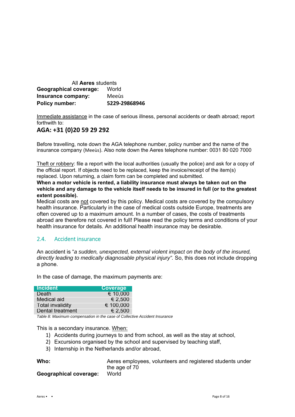| All <b>Aeres</b> students              |               |  |  |  |
|----------------------------------------|---------------|--|--|--|
| <b>Geographical coverage:</b><br>World |               |  |  |  |
| Insurance company:                     | Meeùs         |  |  |  |
| <b>Policy number:</b>                  | 5229-29868946 |  |  |  |

Immediate assistance in the case of serious illness, personal accidents or death abroad; report forthwith to:

### **AGA: +31 (0)20 59 29 292**

Before travelling, note down the AGA telephone number, policy number and the name of the insurance company (Meeùs). Also note down the Aeres telephone number: 0031 80 020 7000

Theft or robbery: file a report with the local authorities (usually the police) and ask for a copy of the official report. If objects need to be replaced, keep the invoice/receipt of the item(s) replaced. Upon returning, a claim form can be completed and submitted.

**When a motor vehicle is rented, a liability insurance must always be taken out on the vehicle and any damage to the vehicle itself needs to be insured in full (or to the greatest extent possible).**

Medical costs are not covered by this policy. Medical costs are covered by the compulsory health insurance. Particularly in the case of medical costs outside Europe, treatments are often covered up to a maximum amount. In a number of cases, the costs of treatments abroad are therefore not covered in full! Please read the policy terms and conditions of your health insurance for details. An additional health insurance may be desirable.

### 2.4. Accident insurance

An accident is "*a sudden, unexpected, external violent impact on the body of the insured, directly leading to medically diagnosable physical injury".* So, this does not include dropping a phone.

In the case of damage, the maximum payments are:

| <b>Incident</b>         | <b>Coverage</b> |
|-------------------------|-----------------|
| Death                   | € 10,000        |
| Medical aid             | € 2,500         |
| <b>Total invalidity</b> | € 100,000       |
| Dental treatment        | € 2,500         |

*Table 8: Maximum compensation in the case of Collective Accident Insurance*

This is a secondary insurance. When:

- 1) Accidents during journeys to and from school, as well as the stay at school,
- 2) Excursions organised by the school and supervised by teaching staff,
- 3) Internship in the Netherlands and/or abroad,

| Who:                          | Aeres employees, volunteers and registered students under |
|-------------------------------|-----------------------------------------------------------|
|                               | the age of 70                                             |
| <b>Geographical coverage:</b> | World                                                     |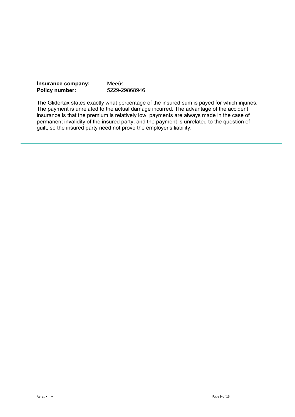| Insurance company:    | Meeùs         |
|-----------------------|---------------|
| <b>Policy number:</b> | 5229-29868946 |

The Glidertax states exactly what percentage of the insured sum is payed for which injuries. The payment is unrelated to the actual damage incurred. The advantage of the accident insurance is that the premium is relatively low, payments are always made in the case of permanent invalidity of the insured party, and the payment is unrelated to the question of guilt, so the insured party need not prove the employer's liability.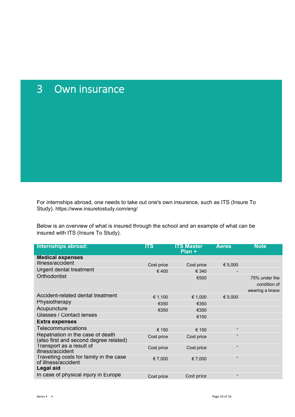# 3 Own insurance

For internships abroad, one needs to take out one's own insurance, such as ITS (Insure To Study). https://www.insuretostudy.com/eng/

Below is an overview of what is insured through the school and an example of what can be insured with ITS (Insure To Study).

| Internships abroad:                                                         | ITS        | <b>ITS Master</b><br>Plan + | <b>Aeres</b>             | <b>Note</b>                                      |
|-----------------------------------------------------------------------------|------------|-----------------------------|--------------------------|--------------------------------------------------|
| <b>Medical expenses</b>                                                     |            |                             |                          |                                                  |
| Illness/accident                                                            | Cost price | Cost price                  | € 5,000                  |                                                  |
| Urgent dental treatment                                                     | €400       | € 340                       |                          |                                                  |
| Orthodontist                                                                |            | €500                        |                          | 75% under the<br>condition of<br>wearing a brace |
| Accident-related dental treatment                                           | € 1,100    | € 1,000                     | € 5,000                  |                                                  |
| Physiotherapy                                                               | €350       | €350                        |                          |                                                  |
| Acupuncture                                                                 | €350       | €350                        |                          |                                                  |
| Glasses / Contact lenses                                                    |            | €150                        |                          |                                                  |
| <b>Extra expenses</b>                                                       |            |                             |                          |                                                  |
| Telecommunications                                                          | € 150      | € 150                       | -                        |                                                  |
| Repatriation in the case of death<br>(also first and second degree related) | Cost price | Cost price                  | -                        |                                                  |
| Transport as a result of<br>illness/accident                                | Cost price | Cost price                  | -                        |                                                  |
| Travelling costs for family in the case<br>of illness/accident              | € 7,000    | € 7,000                     | $\blacksquare$           |                                                  |
| Legal aid                                                                   |            |                             |                          |                                                  |
| In case of physical injury in Europe                                        | Cost price | Cost price                  | $\overline{\phantom{a}}$ |                                                  |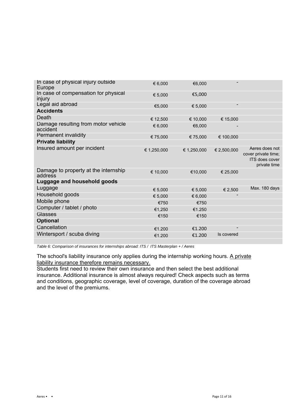| In case of physical injury outside<br>Europe    | € 6,000     | €6,000      |                |                                                                         |
|-------------------------------------------------|-------------|-------------|----------------|-------------------------------------------------------------------------|
| In case of compensation for physical<br>injury  | € 5,000     | €5,000      |                |                                                                         |
| Legal aid abroad                                | €5,000      | € 5,000     | $\blacksquare$ |                                                                         |
| <b>Accidents</b>                                |             |             |                |                                                                         |
| Death                                           | € 12,500    | € 10,000    | € 15,000       |                                                                         |
| Damage resulting from motor vehicle<br>accident | € 6,000     | €6,000      |                |                                                                         |
| <b>Permanent invalidity</b>                     | € 75,000    | € 75,000    | € 100,000      |                                                                         |
| <b>Private liability</b>                        |             |             |                |                                                                         |
| Insured amount per incident                     | € 1,250,000 | € 1,250,000 | € 2,500,000    | Aeres does not<br>cover private time;<br>ITS does cover<br>private time |
| Damage to property at the internship<br>address | € 10,000    | €10,000     | € 25,000       |                                                                         |
| Luggage and household goods                     |             |             |                |                                                                         |
| Luggage                                         | € 5,000     | € 5,000     | € 2,500        | Max. 180 days                                                           |
| Household goods                                 | € 5,000     | € 6,000     |                |                                                                         |
| Mobile phone                                    | €750        | €750        |                |                                                                         |
| Computer / tablet / photo                       | €1.250      | €1.250      |                |                                                                         |
| Glasses                                         | €150        | €150        |                |                                                                         |
| <b>Optional</b>                                 |             |             |                |                                                                         |
| Cancellation                                    | €1.200      | €1.200      |                |                                                                         |
| Wintersport / scuba diving                      | €1.200      | €1.200      | Is covered     |                                                                         |
|                                                 |             |             |                |                                                                         |

*Table 6: Comparison of insurances for internships abroad: ITS / ITS Masterplan + / Aeres*

The school's liability insurance only applies during the internship working hours. A private liability insurance therefore remains necessary.

Students first need to review their own insurance and then select the best additional insurance. Additional insurance is almost always required! Check aspects such as terms and conditions, geographic coverage, level of coverage, duration of the coverage abroad and the level of the premiums.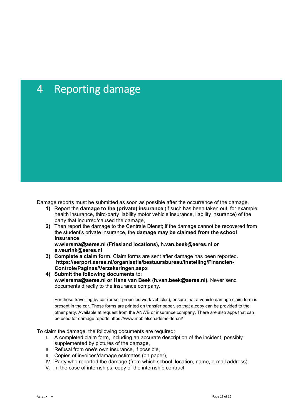# 4 Reporting damage

Damage reports must be submitted as soon as possible after the occurrence of the damage.

- **1)** Report the **damage to the (private) insurance** (if such has been taken out, for example health insurance, third-party liability motor vehicle insurance, liability insurance) of the party that incurred/caused the damage,
- **2)** Then report the damage to the Centrale Dienst; if the damage cannot be recovered from the student's private insurance, the **damage may be claimed from the school insurance**

**w.wiersma@aeres.nl (Friesland locations), h.van.beek@aeres.nl or a.veurink@aeres.nl** 

- **3) Complete a claim form**. Claim forms are sent after damage has been reported. **https://aerport.aeres.nl/organisatie/bestuursbureau/instelling/Financien-Controle/Paginas/Verzekeringen.aspx**
- **4) Submit the following documents** to: **w.wiersma@aeres.nl or Hans van Beek (h.van.beek@aeres.nl).** Never send documents directly to the insurance company.

For those travelling by car (or self-propelled work vehicles), ensure that a vehicle damage claim form is present in the car. These forms are printed on transfer paper, so that a copy can be provided to the other party. Available at request from the ANWB or insurance company. There are also apps that can be used for damage reports https://www.mobielschademelden.nl/

To claim the damage, the following documents are required:

- I. A completed claim form, including an accurate description of the incident, possibly supplemented by pictures of the damage,
- II. Refusal from one's own insurance, if possible,
- III. Copies of invoices/damage estimates (on paper),
- IV. Party who reported the damage (from which school, location, name, e-mail address)
- V. In the case of internships: copy of the internship contract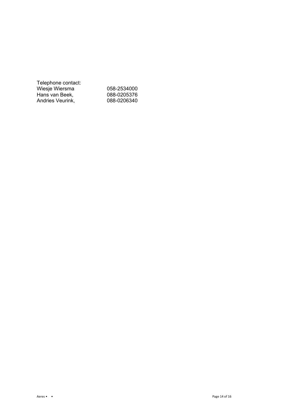| Telephone contact: |             |
|--------------------|-------------|
| Wiesje Wiersma     | 058-2534000 |
| Hans van Beek.     | 088-0205376 |
| Andries Veurink,   | 088-0206340 |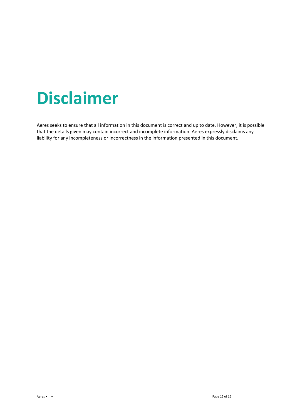# **Disclaimer**

Aeres seeks to ensure that all information in this document is correct and up to date. However, it is possible that the details given may contain incorrect and incomplete information. Aeres expressly disclaims any liability for any incompleteness or incorrectness in the information presented in this document.